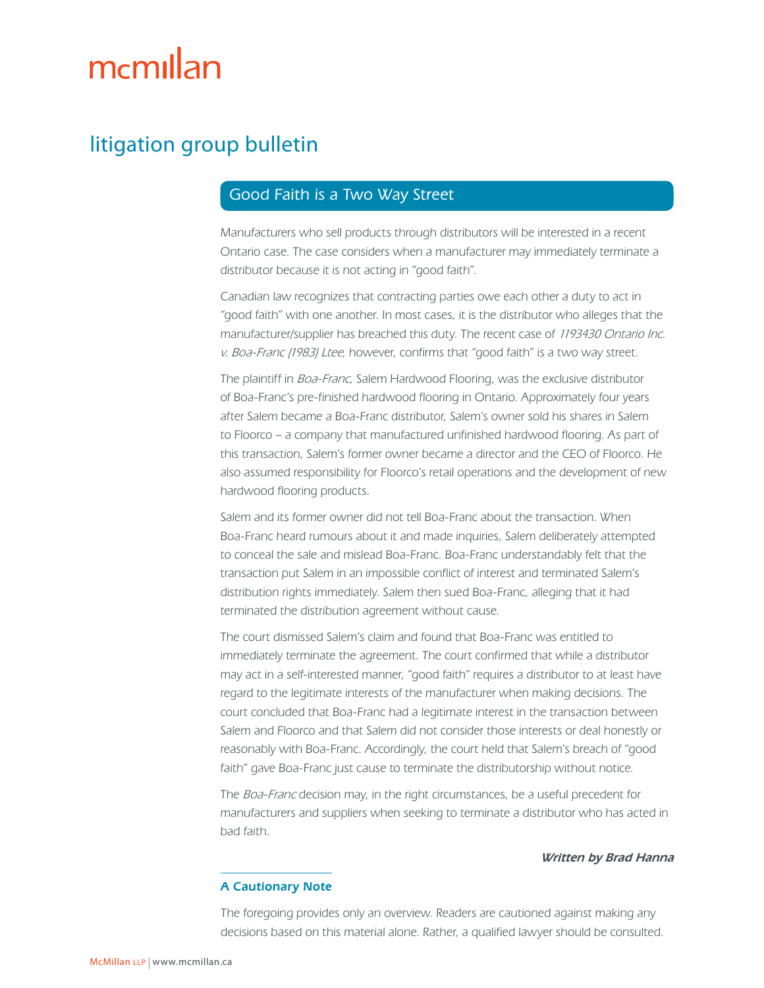# mcmillan

## litigation group bulletin

### Good Faith is a Two Way Street

Manufacturers who sell products through distributors will be interested in a recent Ontario case. The case considers when a manufacturer may immediately terminate a distributor because it is not acting in "good faith".

Canadian law recognizes that contracting parties owe each other a duty to act in "good faith" with one another. In most cases, it is the distributor who alleges that the manufacturer/supplier has breached this duty. The recent case of 1193430 Ontario Inc. v. Boa-Franc (1983) Ltee, however, confirms that "good faith" is a two way street.

The plaintiff in Boa-Franc, Salem Hardwood Flooring, was the exclusive distributor of Boa-Franc's pre-finished hardwood flooring in Ontario. Approximately four years after Salem became a Boa-Franc distributor, Salem's owner sold his shares in Salem to Floorco – a company that manufactured unfinished hardwood flooring. As part of this transaction, Salem's former owner became a director and the CEO of Floorco. He also assumed responsibility for Floorco's retail operations and the development of new hardwood flooring products.

Salem and its former owner did not tell Boa-Franc about the transaction. When Boa-Franc heard rumours about it and made inquiries, Salem deliberately attempted to conceal the sale and mislead Boa-Franc. Boa-Franc understandably felt that the transaction put Salem in an impossible conflict of interest and terminated Salem's distribution rights immediately. Salem then sued Boa-Franc, alleging that it had terminated the distribution agreement without cause.

The court dismissed Salem's claim and found that Boa-Franc was entitled to immediately terminate the agreement. The court confirmed that while a distributor may act in a self-interested manner, "good faith" requires a distributor to at least have regard to the legitimate interests of the manufacturer when making decisions. The court concluded that Boa-Franc had a legitimate interest in the transaction between Salem and Floorco and that Salem did not consider those interests or deal honestly or reasonably with Boa-Franc. Accordingly, the court held that Salem's breach of "good faith" gave Boa-Franc just cause to terminate the distributorship without notice.

The Boa-Franc decision may, in the right circumstances, be a useful precedent for manufacturers and suppliers when seeking to terminate a distributor who has acted in bad faith.

#### Written by Brad Hanna

#### A Cautionary Note

The foregoing provides only an overview. Readers are cautioned against making any decisions based on this material alone. Rather, a qualified lawyer should be consulted.